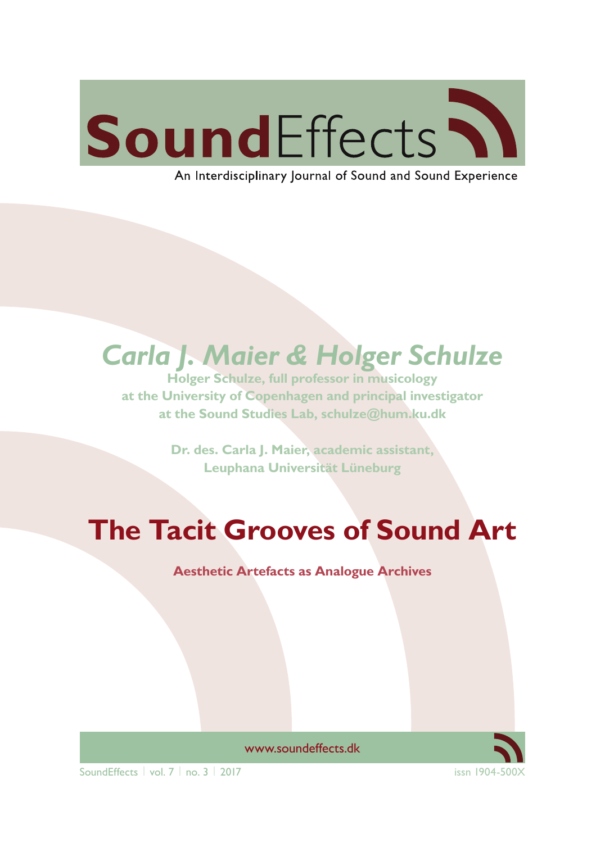# SoundEffects \\

An Interdisciplinary Journal of Sound and Sound Experience

## *Carla J. Maier & Holger Schulze*

**Holger Schulze, full professor in musicology at the University of Copenhagen and principal investigator at the Sound Studies Lab, schulze@hum.ku.dk**

> **Dr. des. Carla J. Maier, academic assistant, Leuphana Universität Lüneburg**

# **The Tacit Grooves of Sound Art**

**Aesthetic Artefacts as Analogue Archives**



www.soundeffects.dk

SoundEffects | vol. 7 | no. 3 | 2017 issn 1904-5000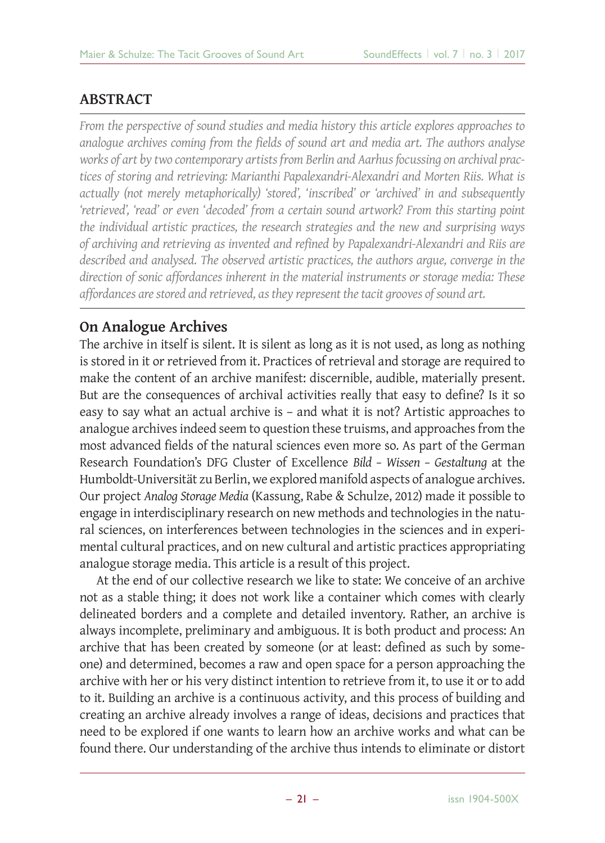#### **ABSTRACT**

*From the perspective of sound studies and media history this article explores approaches to*  analogue archives coming from the fields of sound art and media art. The authors analyse *works of art by two contemporary artists from Berlin and Aarhus focussing on archival practices of storing and retrieving: Marianthi Papalexandri-Alexandri and Morten Riis. What is actually (not merely metaphorically) 'stored', 'inscribed' or 'archived' in and subsequently 'retrieved', 'read' or even 'decoded' from a certain sound artwork? From this starting point the individual artistic practices, the research strategies and the new and surprising ways of archiving and retrieving as invented and refi ned by Papalexandri-Alexandri and Riis are described and analysed. The observed artistic practices, the authors argue, converge in the direction of sonic affordances inherent in the material instruments or storage media: These affordances are stored and retrieved, as they represent the tacit grooves of sound art.*

## **On Analogue Archives**

The archive in itself is silent. It is silent as long as it is not used, as long as nothing is stored in it or retrieved from it. Practices of retrieval and storage are required to make the content of an archive manifest: discernible, audible, materially present. But are the consequences of archival activities really that easy to define? Is it so easy to say what an actual archive is – and what it is not? Artistic approaches to analogue archives indeed seem to question these truisms, and approaches from the most advanced fields of the natural sciences even more so. As part of the German Research Foundation's DFG Cluster of Excellence *Bild – Wissen – Gestaltung* at the Humboldt-Universität zu Berlin, we explored manifold aspects of analogue archives. Our project *Analog Storage Media* (Kassung, Rabe & Schulze, 2012) made it possible to engage in interdisciplinary research on new methods and technologies in the natural sciences, on interferences between technologies in the sciences and in experimental cultural practices, and on new cultural and artistic practices appropriating analogue storage media. This article is a result of this project.

At the end of our collective research we like to state: We conceive of an archive not as a stable thing; it does not work like a container which comes with clearly delineated borders and a complete and detailed inventory. Rather, an archive is always incomplete, preliminary and ambiguous. It is both product and process: An archive that has been created by someone (or at least: defined as such by someone) and determined, becomes a raw and open space for a person approaching the archive with her or his very distinct intention to retrieve from it, to use it or to add to it. Building an archive is a continuous activity, and this process of building and creating an archive already involves a range of ideas, decisions and practices that need to be explored if one wants to learn how an archive works and what can be found there. Our understanding of the archive thus intends to eliminate or distort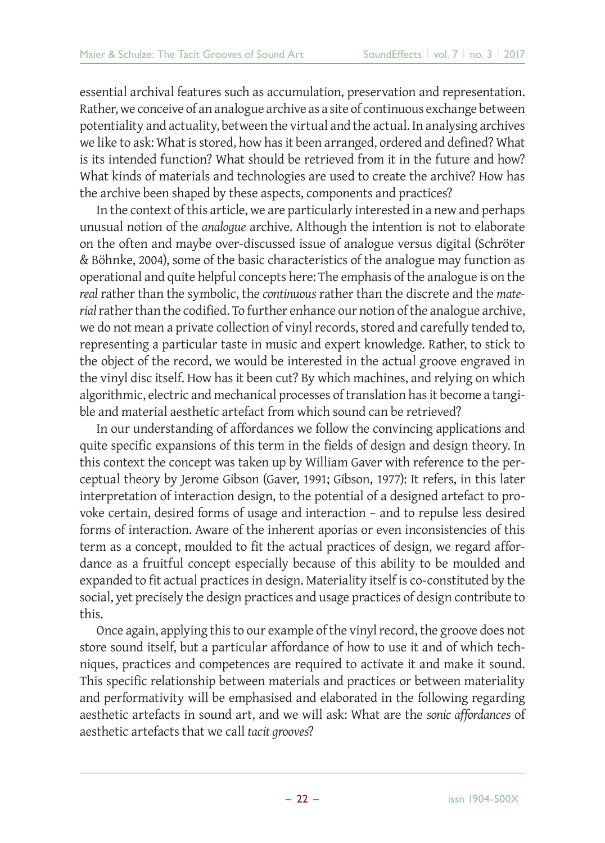essential archival features such as accumulation, preservation and representation. Rather, we conceive of an analogue archive as a site of continuous exchange between potentiality and actuality, between the virtual and the actual. In analysing archives we like to ask: What is stored, how has it been arranged, ordered and defined? What is its intended function? What should be retrieved from it in the future and how? What kinds of materials and technologies are used to create the archive? How has the archive been shaped by these aspects, components and practices?

In the context of this article, we are particularly interested in a new and perhaps unusual notion of the *analogue* archive. Although the intention is not to elaborate on the often and maybe over-discussed issue of analogue versus digital (Schröter & Böhnke, 2004), some of the basic characteristics of the analogue may function as operational and quite helpful concepts here: The emphasis of the analogue is on the *real* rather than the symbolic, the *continuous* rather than the discrete and the *material* rather than the codified. To further enhance our notion of the analogue archive, we do not mean a private collection of vinyl records, stored and carefully tended to, representing a particular taste in music and expert knowledge. Rather, to stick to the object of the record, we would be interested in the actual groove engraved in the vinyl disc itself. How has it been cut? By which machines, and relying on which algorithmic, electric and mechanical processes of translation has it become a tangible and material aesthetic artefact from which sound can be retrieved?

In our understanding of affordances we follow the convincing applications and quite specific expansions of this term in the fields of design and design theory. In this context the concept was taken up by William Gaver with reference to the perceptual theory by Jerome Gibson (Gaver, 1991; Gibson, 1977): It refers, in this later interpretation of interaction design, to the potential of a designed artefact to provoke certain, desired forms of usage and interaction – and to repulse less desired forms of interaction. Aware of the inherent aporias or even inconsistencies of this term as a concept, moulded to fit the actual practices of design, we regard affordance as a fruitful concept especially because of this ability to be moulded and expanded to fit actual practices in design. Materiality itself is co-constituted by the social, yet precisely the design practices and usage practices of design contribute to this.

Once again, applying this to our example of the vinyl record, the groove does not store sound itself, but a particular affordance of how to use it and of which techniques, practices and competences are required to activate it and make it sound. This specific relationship between materials and practices or between materiality and performativity will be emphasised and elaborated in the following regarding aesthetic artefacts in sound art, and we will ask: What are the *sonic affordances* of aesthetic artefacts that we call *tacit grooves*?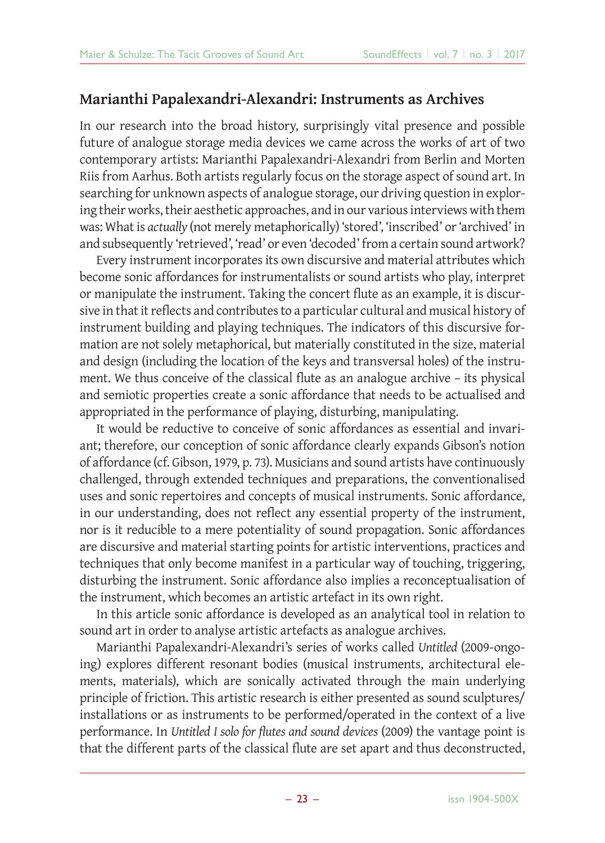### **Marianthi Papalexandri-Alexandri: Instruments as Archives**

In our research into the broad history, surprisingly vital presence and possible future of analogue storage media devices we came across the works of art of two contemporary artists: Marianthi Papalexandri-Alexandri from Berlin and Morten Riis from Aarhus. Both artists regularly focus on the storage aspect of sound art. In searching for unknown aspects of analogue storage, our driving question in exploring their works, their aesthetic approaches, and in our various interviews with them was: What is *actually* (not merely metaphorically) 'stored', 'inscribed' or 'archived' in and subsequently 'retrieved', 'read' or even 'decoded' from a certain sound artwork?

Every instrument incorporates its own discursive and material attributes which become sonic affordances for instrumentalists or sound artists who play, interpret or manipulate the instrument. Taking the concert flute as an example, it is discursive in that it reflects and contributes to a particular cultural and musical history of instrument building and playing techniques. The indicators of this discursive formation are not solely metaphorical, but materially constituted in the size, material and design (including the location of the keys and transversal holes) of the instrument. We thus conceive of the classical flute as an analogue archive – its physical and semiotic properties create a sonic affordance that needs to be actualised and appropriated in the performance of playing, disturbing, manipulating.

It would be reductive to conceive of sonic affordances as essential and invariant; therefore, our conception of sonic affordance clearly expands Gibson's notion of affordance (cf. Gibson, 1979, p. 73). Musicians and sound artists have continuously challenged, through extended techniques and preparations, the conventionalised uses and sonic repertoires and concepts of musical instruments. Sonic affordance, in our understanding, does not reflect any essential property of the instrument, nor is it reducible to a mere potentiality of sound propagation. Sonic affordances are discursive and material starting points for artistic interventions, practices and techniques that only become manifest in a particular way of touching, triggering, disturbing the instrument. Sonic affordance also implies a reconceptualisation of the instrument, which becomes an artistic artefact in its own right.

In this article sonic affordance is developed as an analytical tool in relation to sound art in order to analyse artistic artefacts as analogue archives.

Marianthi Papalexandri-Alexandri's series of works called *Untitled* (2009-ongoing) explores different resonant bodies (musical instruments, architectural elements, materials), which are sonically activated through the main underlying principle of friction. This artistic research is either presented as sound sculptures/ installations or as instruments to be performed/operated in the context of a live performance. In *Untitled I solo for flutes and sound devices* (2009) the vantage point is that the different parts of the classical flute are set apart and thus deconstructed,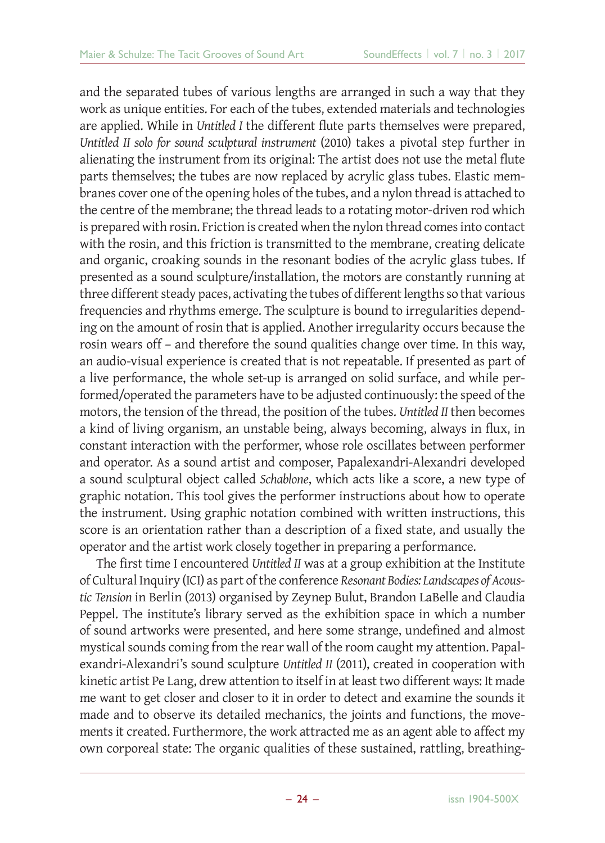and the separated tubes of various lengths are arranged in such a way that they work as unique entities. For each of the tubes, extended materials and technologies are applied. While in *Untitled I* the different flute parts themselves were prepared, *Untitled II solo for sound sculptural instrument* (2010) takes a pivotal step further in alienating the instrument from its original: The artist does not use the metal flute parts themselves; the tubes are now replaced by acrylic glass tubes. Elastic membranes cover one of the opening holes of the tubes, and a nylon thread is attached to the centre of the membrane; the thread leads to a rotating motor-driven rod which is prepared with rosin. Friction is created when the nylon thread comes into contact with the rosin, and this friction is transmitted to the membrane, creating delicate and organic, croaking sounds in the resonant bodies of the acrylic glass tubes. If presented as a sound sculpture/installation, the motors are constantly running at three different steady paces, activating the tubes of different lengths so that various frequencies and rhythms emerge. The sculpture is bound to irregularities depending on the amount of rosin that is applied. Another irregularity occurs because the rosin wears off – and therefore the sound qualities change over time. In this way, an audio-visual experience is created that is not repeatable. If presented as part of a live performance, the whole set-up is arranged on solid surface, and while performed/operated the parameters have to be adjusted continuously: the speed of the motors, the tension of the thread, the position of the tubes. *Untitled II* then becomes a kind of living organism, an unstable being, always becoming, always in flux, in constant interaction with the performer, whose role oscillates between performer and operator. As a sound artist and composer, Papalexandri-Alexandri developed a sound sculptural object called *Schablone*, which acts like a score, a new type of graphic notation. This tool gives the performer instructions about how to operate the instrument. Using graphic notation combined with written instructions, this score is an orientation rather than a description of a fixed state, and usually the operator and the artist work closely together in preparing a performance.

The first time I encountered *Untitled II* was at a group exhibition at the Institute of Cultural Inquiry (ICI) as part of the conference *Resonant Bodies: Landscapes of Acoustic Tension* in Berlin (2013) organised by Zeynep Bulut, Brandon LaBelle and Claudia Peppel. The institute's library served as the exhibition space in which a number of sound artworks were presented, and here some strange, undefined and almost mystical sounds coming from the rear wall of the room caught my attention. Papalexandri-Alexandri's sound sculpture *Untitled II* (2011), created in cooperation with kinetic artist Pe Lang, drew attention to itself in at least two different ways: It made me want to get closer and closer to it in order to detect and examine the sounds it made and to observe its detailed mechanics, the joints and functions, the movements it created. Furthermore, the work attracted me as an agent able to affect my own corporeal state: The organic qualities of these sustained, rattling, breathing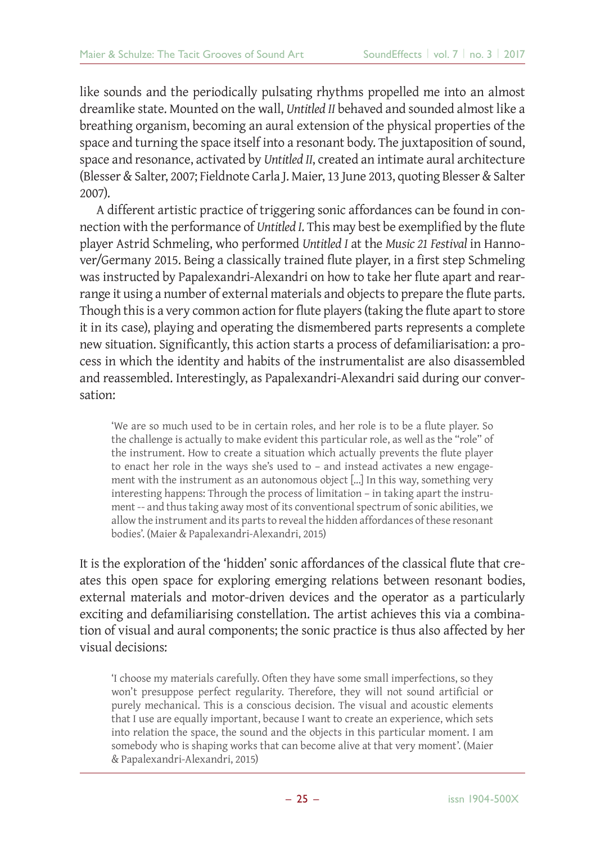like sounds and the periodically pulsating rhythms propelled me into an almost dreamlike state. Mounted on the wall, *Untitled II* behaved and sounded almost like a breathing organism, becoming an aural extension of the physical properties of the space and turning the space itself into a resonant body. The juxtaposition of sound, space and resonance, activated by *Untitled II*, created an intimate aural architecture (Blesser & Salter, 2007; Fieldnote Carla J. Maier, 13 June 2013, quoting Blesser & Salter 2007).

A different artistic practice of triggering sonic affordances can be found in connection with the performance of *Untitled I*. This may best be exemplified by the flute player Astrid Schmeling, who performed *Untitled I* at the *Music 21 Festival* in Hannover/Germany 2015. Being a classically trained flute player, in a first step Schmeling was instructed by Papalexandri-Alexandri on how to take her flute apart and rearrange it using a number of external materials and objects to prepare the flute parts. Though this is a very common action for flute players (taking the flute apart to store it in its case), playing and operating the dismembered parts represents a complete new situation. Significantly, this action starts a process of defamiliarisation: a process in which the identity and habits of the instrumentalist are also disassembled and reassembled. Interestingly, as Papalexandri-Alexandri said during our conversation:

'We are so much used to be in certain roles, and her role is to be a flute player. So the challenge is actually to make evident this particular role, as well as the "role" of the instrument. How to create a situation which actually prevents the flute player to enact her role in the ways she's used to – and instead activates a new engagement with the instrument as an autonomous object [...] In this way, something very interesting happens: Through the process of limitation – in taking apart the instrument -- and thus taking away most of its conventional spectrum of sonic abilities, we allow the instrument and its parts to reveal the hidden affordances of these resonant bodies'. (Maier & Papalexandri-Alexandri, 2015)

It is the exploration of the 'hidden' sonic affordances of the classical flute that creates this open space for exploring emerging relations between resonant bodies, external materials and motor-driven devices and the operator as a particularly exciting and defamiliarising constellation. The artist achieves this via a combination of visual and aural components; the sonic practice is thus also affected by her visual decisions:

'I choose my materials carefully. Often they have some small imperfections, so they won't presuppose perfect regularity. Therefore, they will not sound artificial or purely mechanical. This is a conscious decision. The visual and acoustic elements that I use are equally important, because I want to create an experience, which sets into relation the space, the sound and the objects in this particular moment. I am somebody who is shaping works that can become alive at that very moment'. (Maier & Papalexandri-Alexandri, 2015)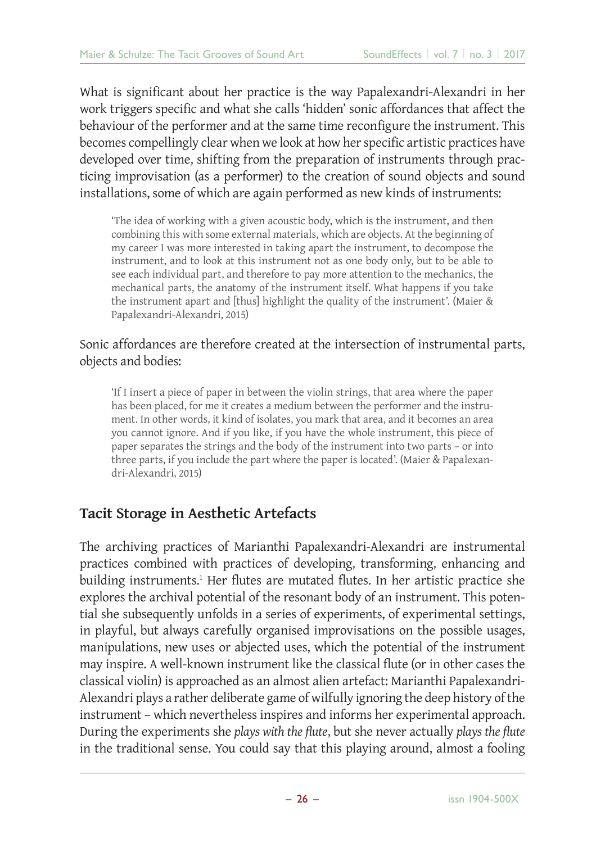What is significant about her practice is the way Papalexandri-Alexandri in her work triggers specific and what she calls 'hidden' sonic affordances that affect the behaviour of the performer and at the same time reconfigure the instrument. This becomes compellingly clear when we look at how her specific artistic practices have developed over time, shifting from the preparation of instruments through practicing improvisation (as a performer) to the creation of sound objects and sound installations, some of which are again performed as new kinds of instruments:

'The idea of working with a given acoustic body, which is the instrument, and then combining this with some external materials, which are objects. At the beginning of my career I was more interested in taking apart the instrument, to decompose the instrument, and to look at this instrument not as one body only, but to be able to see each individual part, and therefore to pay more attention to the mechanics, the mechanical parts, the anatomy of the instrument itself. What happens if you take the instrument apart and [thus] highlight the quality of the instrument'. (Maier & Papalexandri-Alexandri, 2015)

#### Sonic affordances are therefore created at the intersection of instrumental parts, objects and bodies:

'If I insert a piece of paper in between the violin strings, that area where the paper has been placed, for me it creates a medium between the performer and the instrument. In other words, it kind of isolates, you mark that area, and it becomes an area you cannot ignore. And if you like, if you have the whole instrument, this piece of paper separates the strings and the body of the instrument into two parts – or into three parts, if you include the part where the paper is located'. (Maier & Papalexandri-Alexandri, 2015)

#### **Tacit Storage in Aesthetic Artefacts**

The archiving practices of Marianthi Papalexandri-Alexandri are instrumental practices combined with practices of developing, transforming, enhancing and building instruments.<sup>1</sup> Her flutes are mutated flutes. In her artistic practice she explores the archival potential of the resonant body of an instrument. This potential she subsequently unfolds in a series of experiments, of experimental settings, in playful, but always carefully organised improvisations on the possible usages, manipulations, new uses or abjected uses, which the potential of the instrument may inspire. A well-known instrument like the classical flute (or in other cases the classical violin) is approached as an almost alien artefact: Marianthi Papalexandri-Alexandri plays a rather deliberate game of wilfully ignoring the deep history of the instrument – which nevertheless inspires and informs her experimental approach. During the experiments she *plays with the flute*, but she never actually *plays the flute* in the traditional sense. You could say that this playing around, almost a fooling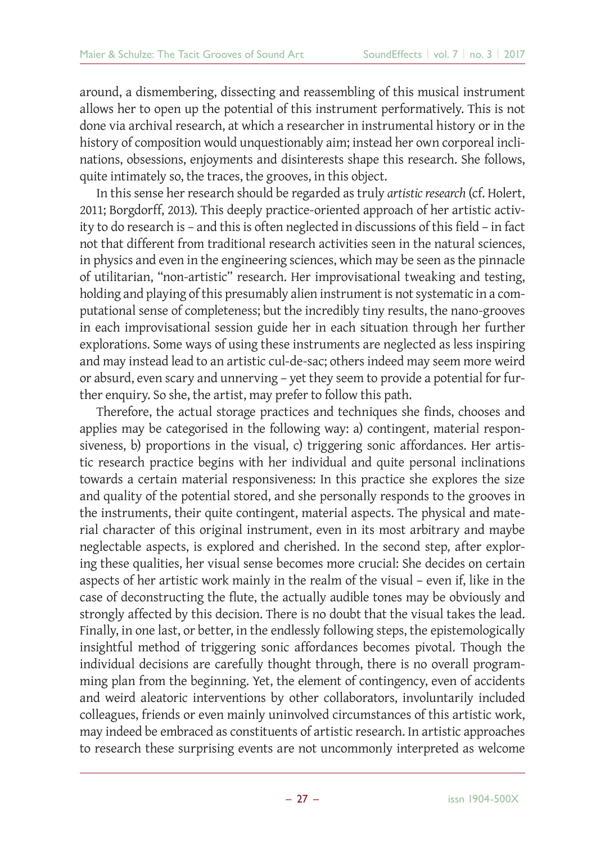around, a dismembering, dissecting and reassembling of this musical instrument allows her to open up the potential of this instrument performatively. This is not done via archival research, at which a researcher in instrumental history or in the history of composition would unquestionably aim; instead her own corporeal inclinations, obsessions, enjoyments and disinterests shape this research. She follows, quite intimately so, the traces, the grooves, in this object.

In this sense her research should be regarded as truly *artistic research* (cf. Holert, 2011; Borgdorff, 2013). This deeply practice-oriented approach of her artistic activity to do research is - and this is often neglected in discussions of this field - in fact not that different from traditional research activities seen in the natural sciences, in physics and even in the engineering sciences, which may be seen as the pinnacle of utilitarian, "non-artistic" research. Her improvisational tweaking and testing, holding and playing of this presumably alien instrument is not systematic in a computational sense of completeness; but the incredibly tiny results, the nano-grooves in each improvisational session guide her in each situation through her further explorations. Some ways of using these instruments are neglected as less inspiring and may instead lead to an artistic cul-de-sac; others indeed may seem more weird or absurd, even scary and unnerving – yet they seem to provide a potential for further enquiry. So she, the artist, may prefer to follow this path.

Therefore, the actual storage practices and techniques she finds, chooses and applies may be categorised in the following way: a) contingent, material responsiveness, b) proportions in the visual, c) triggering sonic affordances. Her artistic research practice begins with her individual and quite personal inclinations towards a certain material responsiveness: In this practice she explores the size and quality of the potential stored, and she personally responds to the grooves in the instruments, their quite contingent, material aspects. The physical and material character of this original instrument, even in its most arbitrary and maybe neglectable aspects, is explored and cherished. In the second step, after exploring these qualities, her visual sense becomes more crucial: She decides on certain aspects of her artistic work mainly in the realm of the visual – even if, like in the case of deconstructing the flute, the actually audible tones may be obviously and strongly affected by this decision. There is no doubt that the visual takes the lead. Finally, in one last, or better, in the endlessly following steps, the epistemologically insightful method of triggering sonic affordances becomes pivotal. Though the individual decisions are carefully thought through, there is no overall programming plan from the beginning. Yet, the element of contingency, even of accidents and weird aleatoric interventions by other collaborators, involuntarily included colleagues, friends or even mainly uninvolved circumstances of this artistic work, may indeed be embraced as constituents of artistic research. In artistic approaches to research these surprising events are not uncommonly interpreted as welcome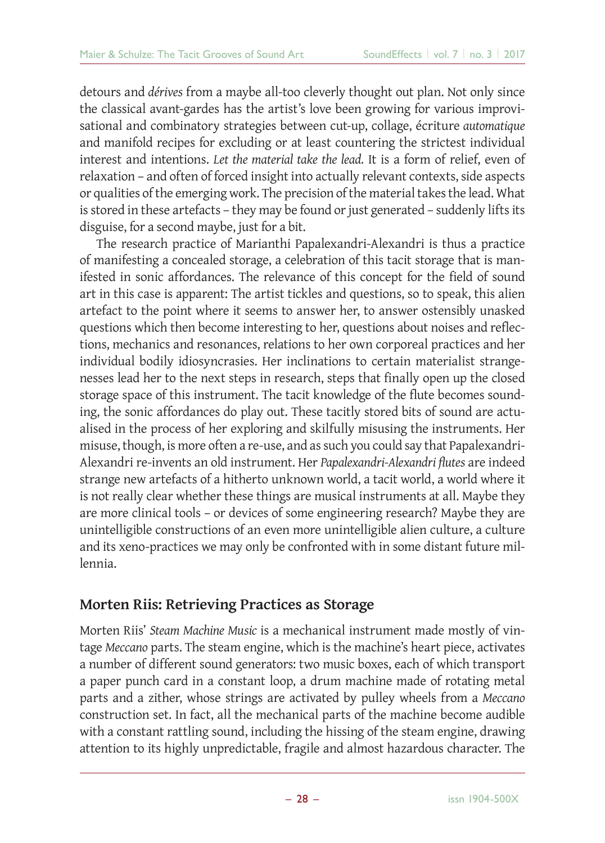detours and *dérives* from a maybe all-too cleverly thought out plan. Not only since the classical avant-gardes has the artist's love been growing for various improvisational and combinatory strategies between cut-up, collage, écriture *automatique* and manifold recipes for excluding or at least countering the strictest individual interest and intentions. *Let the material take the lead.* It is a form of relief, even of relaxation – and often of forced insight into actually relevant contexts, side aspects or qualities of the emerging work. The precision of the material takes the lead. What is stored in these artefacts – they may be found or just generated – suddenly lifts its disguise, for a second maybe, just for a bit.

The research practice of Marianthi Papalexandri-Alexandri is thus a practice of manifesting a concealed storage, a celebration of this tacit storage that is manifested in sonic affordances. The relevance of this concept for the field of sound art in this case is apparent: The artist tickles and questions, so to speak, this alien artefact to the point where it seems to answer her, to answer ostensibly unasked questions which then become interesting to her, questions about noises and reflections, mechanics and resonances, relations to her own corporeal practices and her individual bodily idiosyncrasies. Her inclinations to certain materialist strangenesses lead her to the next steps in research, steps that finally open up the closed storage space of this instrument. The tacit knowledge of the flute becomes sounding, the sonic affordances do play out. These tacitly stored bits of sound are actualised in the process of her exploring and skilfully misusing the instruments. Her misuse, though, is more often a re-use, and as such you could say that Papalexandri-Alexandri re-invents an old instrument. Her *Papalexandri-Alexandri fl utes* are indeed strange new artefacts of a hitherto unknown world, a tacit world, a world where it is not really clear whether these things are musical instruments at all. Maybe they are more clinical tools – or devices of some engineering research? Maybe they are unintelligible constructions of an even more unintelligible alien culture, a culture and its xeno-practices we may only be confronted with in some distant future millennia.

#### **Morten Riis: Retrieving Practices as Storage**

Morten Riis' *Steam Machine Music* is a mechanical instrument made mostly of vintage *Meccano* parts. The steam engine, which is the machine's heart piece, activates a number of different sound generators: two music boxes, each of which transport a paper punch card in a constant loop, a drum machine made of rotating metal parts and a zither, whose strings are activated by pulley wheels from a *Meccano* construction set. In fact, all the mechanical parts of the machine become audible with a constant rattling sound, including the hissing of the steam engine, drawing attention to its highly unpredictable, fragile and almost hazardous character. The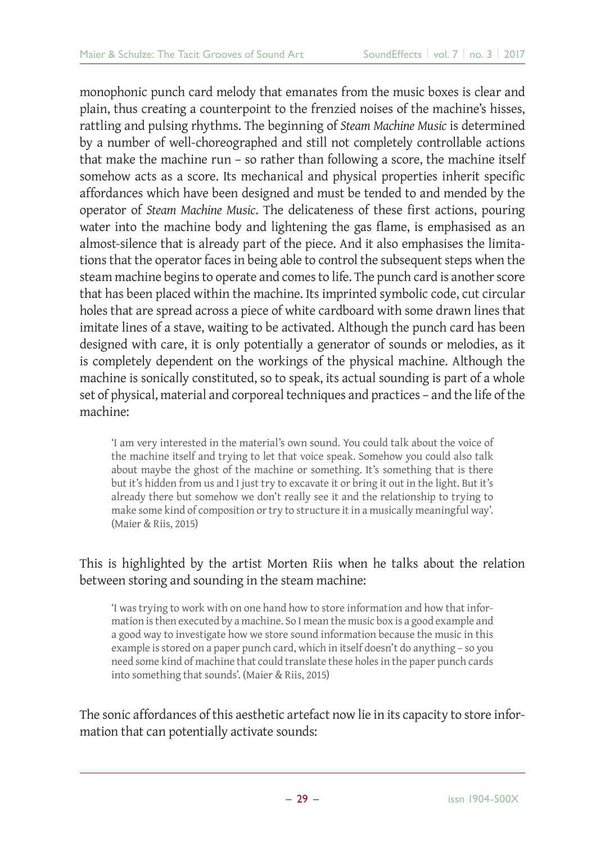monophonic punch card melody that emanates from the music boxes is clear and plain, thus creating a counterpoint to the frenzied noises of the machine's hisses, rattling and pulsing rhythms. The beginning of *Steam Machine Music* is determined by a number of well-choreographed and still not completely controllable actions that make the machine run – so rather than following a score, the machine itself somehow acts as a score. Its mechanical and physical properties inherit specific affordances which have been designed and must be tended to and mended by the operator of *Steam Machine Music*. The delicateness of these first actions, pouring water into the machine body and lightening the gas flame, is emphasised as an almost-silence that is already part of the piece. And it also emphasises the limitations that the operator faces in being able to control the subsequent steps when the steam machine begins to operate and comes to life. The punch card is another score that has been placed within the machine. Its imprinted symbolic code, cut circular holes that are spread across a piece of white cardboard with some drawn lines that imitate lines of a stave, waiting to be activated. Although the punch card has been designed with care, it is only potentially a generator of sounds or melodies, as it is completely dependent on the workings of the physical machine. Although the machine is sonically constituted, so to speak, its actual sounding is part of a whole set of physical, material and corporeal techniques and practices – and the life of the machine:

'I am very interested in the material's own sound. You could talk about the voice of the machine itself and trying to let that voice speak. Somehow you could also talk about maybe the ghost of the machine or something. It's something that is there but it's hidden from us and I just try to excavate it or bring it out in the light. But it's already there but somehow we don't really see it and the relationship to trying to make some kind of composition or try to structure it in a musically meaningful way'. (Maier & Riis, 2015)

#### This is highlighted by the artist Morten Riis when he talks about the relation between storing and sounding in the steam machine:

'I was trying to work with on one hand how to store information and how that information is then executed by a machine. So I mean the music box is a good example and a good way to investigate how we store sound information because the music in this example is stored on a paper punch card, which in itself doesn't do anything – so you need some kind of machine that could translate these holes in the paper punch cards into something that sounds'. (Maier & Riis, 2015)

The sonic affordances of this aesthetic artefact now lie in its capacity to store information that can potentially activate sounds: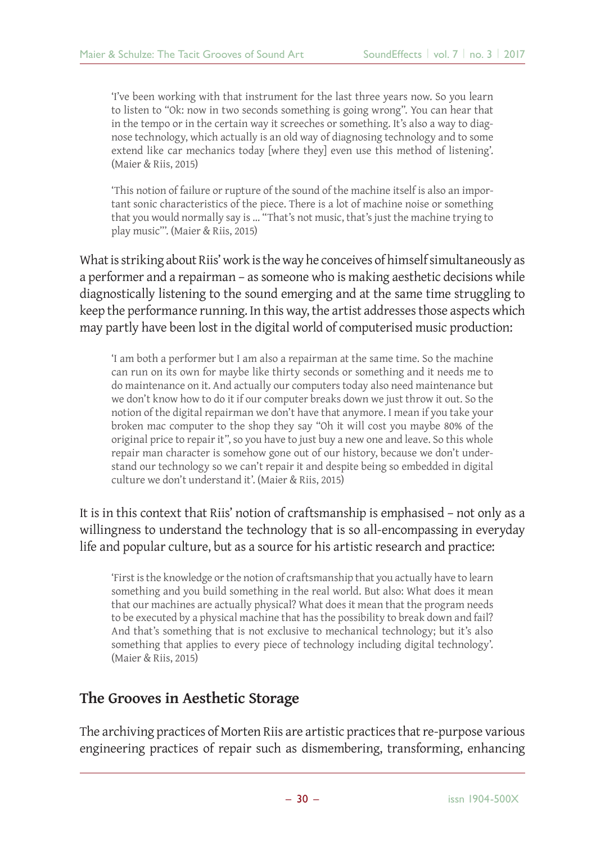'I've been working with that instrument for the last three years now. So you learn to listen to "Ok: now in two seconds something is going wrong". You can hear that in the tempo or in the certain way it screeches or something. It's also a way to diagnose technology, which actually is an old way of diagnosing technology and to some extend like car mechanics today [where they] even use this method of listening'. (Maier & Riis, 2015)

'This notion of failure or rupture of the sound of the machine itself is also an important sonic characteristics of the piece. There is a lot of machine noise or something that you would normally say is … "That's not music, that's just the machine trying to play music"'. (Maier & Riis, 2015)

What is striking about Riis' work is the way he conceives of himself simultaneously as a performer and a repairman – as someone who is making aesthetic decisions while diagnostically listening to the sound emerging and at the same time struggling to keep the performance running. In this way, the artist addresses those aspects which may partly have been lost in the digital world of computerised music production:

'I am both a performer but I am also a repairman at the same time. So the machine can run on its own for maybe like thirty seconds or something and it needs me to do maintenance on it. And actually our computers today also need maintenance but we don't know how to do it if our computer breaks down we just throw it out. So the notion of the digital repairman we don't have that anymore. I mean if you take your broken mac computer to the shop they say "Oh it will cost you maybe 80% of the original price to repair it", so you have to just buy a new one and leave. So this whole repair man character is somehow gone out of our history, because we don't understand our technology so we can't repair it and despite being so embedded in digital culture we don't understand it'. (Maier & Riis, 2015)

It is in this context that Riis' notion of craftsmanship is emphasised – not only as a willingness to understand the technology that is so all-encompassing in everyday life and popular culture, but as a source for his artistic research and practice:

'First is the knowledge or the notion of craftsmanship that you actually have to learn something and you build something in the real world. But also: What does it mean that our machines are actually physical? What does it mean that the program needs to be executed by a physical machine that has the possibility to break down and fail? And that's something that is not exclusive to mechanical technology; but it's also something that applies to every piece of technology including digital technology'. (Maier & Riis, 2015)

#### **The Grooves in Aesthetic Storage**

The archiving practices of Morten Riis are artistic practices that re-purpose various engineering practices of repair such as dismembering, transforming, enhancing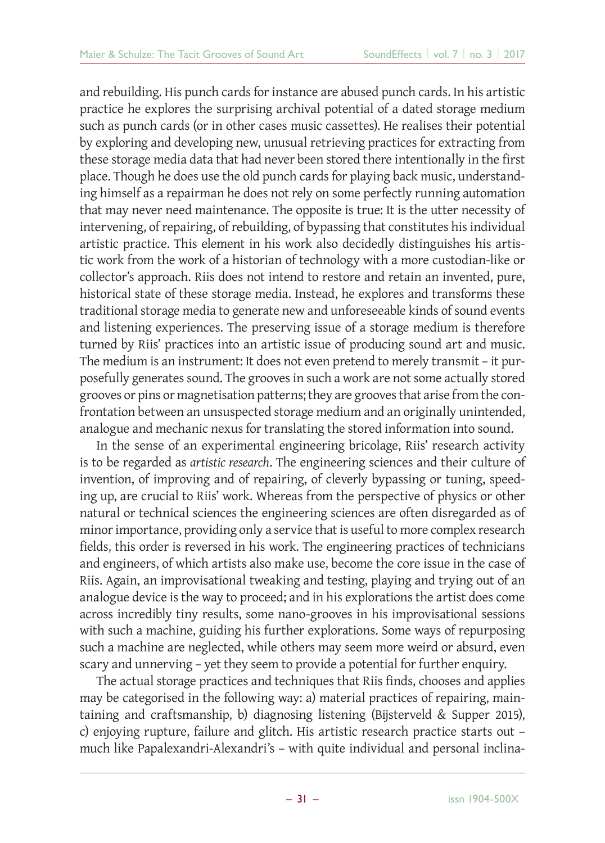and rebuilding. His punch cards for instance are abused punch cards. In his artistic practice he explores the surprising archival potential of a dated storage medium such as punch cards (or in other cases music cassettes). He realises their potential by exploring and developing new, unusual retrieving practices for extracting from these storage media data that had never been stored there intentionally in the first place. Though he does use the old punch cards for playing back music, understanding himself as a repairman he does not rely on some perfectly running automation that may never need maintenance. The opposite is true: It is the utter necessity of intervening, of repairing, of rebuilding, of bypassing that constitutes his individual artistic practice. This element in his work also decidedly distinguishes his artistic work from the work of a historian of technology with a more custodian-like or collector's approach. Riis does not intend to restore and retain an invented, pure, historical state of these storage media. Instead, he explores and transforms these traditional storage media to generate new and unforeseeable kinds of sound events and listening experiences. The preserving issue of a storage medium is therefore turned by Riis' practices into an artistic issue of producing sound art and music. The medium is an instrument: It does not even pretend to merely transmit – it purposefully generates sound. The grooves in such a work are not some actually stored grooves or pins or magnetisation patterns; they are grooves that arise from the confrontation between an unsuspected storage medium and an originally unintended, analogue and mechanic nexus for translating the stored information into sound.

In the sense of an experimental engineering bricolage, Riis' research activity is to be regarded as *artistic research*. The engineering sciences and their culture of invention, of improving and of repairing, of cleverly bypassing or tuning, speeding up, are crucial to Riis' work. Whereas from the perspective of physics or other natural or technical sciences the engineering sciences are often disregarded as of minor importance, providing only a service that is useful to more complex research fields, this order is reversed in his work. The engineering practices of technicians and engineers, of which artists also make use, become the core issue in the case of Riis. Again, an improvisational tweaking and testing, playing and trying out of an analogue device is the way to proceed; and in his explorations the artist does come across incredibly tiny results, some nano-grooves in his improvisational sessions with such a machine, guiding his further explorations. Some ways of repurposing such a machine are neglected, while others may seem more weird or absurd, even scary and unnerving – yet they seem to provide a potential for further enquiry.

The actual storage practices and techniques that Riis finds, chooses and applies may be categorised in the following way: a) material practices of repairing, maintaining and craftsmanship, b) diagnosing listening (Bijsterveld & Supper 2015), c) enjoying rupture, failure and glitch. His artistic research practice starts out – much like Papalexandri-Alexandri's – with quite individual and personal inclina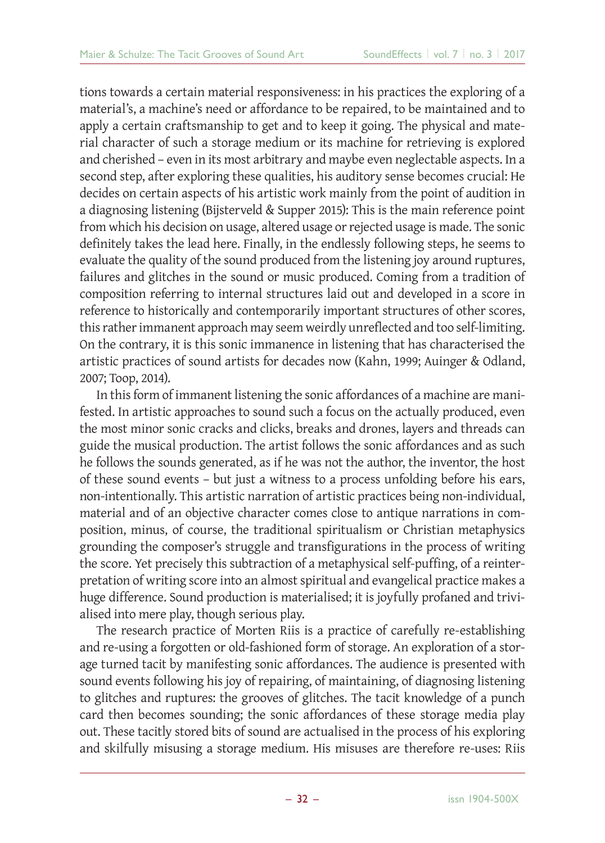tions towards a certain material responsiveness: in his practices the exploring of a material's, a machine's need or affordance to be repaired, to be maintained and to apply a certain craftsmanship to get and to keep it going. The physical and material character of such a storage medium or its machine for retrieving is explored and cherished – even in its most arbitrary and maybe even neglectable aspects. In a second step, after exploring these qualities, his auditory sense becomes crucial: He decides on certain aspects of his artistic work mainly from the point of audition in a diagnosing listening (Bijsterveld & Supper 2015): This is the main reference point from which his decision on usage, altered usage or rejected usage is made. The sonic definitely takes the lead here. Finally, in the endlessly following steps, he seems to evaluate the quality of the sound produced from the listening joy around ruptures, failures and glitches in the sound or music produced. Coming from a tradition of composition referring to internal structures laid out and developed in a score in reference to historically and contemporarily important structures of other scores, this rather immanent approach may seem weirdly unreflected and too self-limiting. On the contrary, it is this sonic immanence in listening that has characterised the artistic practices of sound artists for decades now (Kahn, 1999; Auinger & Odland, 2007; Toop, 2014).

In this form of immanent listening the sonic affordances of a machine are manifested. In artistic approaches to sound such a focus on the actually produced, even the most minor sonic cracks and clicks, breaks and drones, layers and threads can guide the musical production. The artist follows the sonic affordances and as such he follows the sounds generated, as if he was not the author, the inventor, the host of these sound events – but just a witness to a process unfolding before his ears, non-intentionally. This artistic narration of artistic practices being non-individual, material and of an objective character comes close to antique narrations in composition, minus, of course, the traditional spiritualism or Christian metaphysics grounding the composer's struggle and transfigurations in the process of writing the score. Yet precisely this subtraction of a metaphysical self-puffing, of a reinterpretation of writing score into an almost spiritual and evangelical practice makes a huge difference. Sound production is materialised; it is joyfully profaned and trivialised into mere play, though serious play.

The research practice of Morten Riis is a practice of carefully re-establishing and re-using a forgotten or old-fashioned form of storage. An exploration of a storage turned tacit by manifesting sonic affordances. The audience is presented with sound events following his joy of repairing, of maintaining, of diagnosing listening to glitches and ruptures: the grooves of glitches. The tacit knowledge of a punch card then becomes sounding; the sonic affordances of these storage media play out. These tacitly stored bits of sound are actualised in the process of his exploring and skilfully misusing a storage medium. His misuses are therefore re-uses: Riis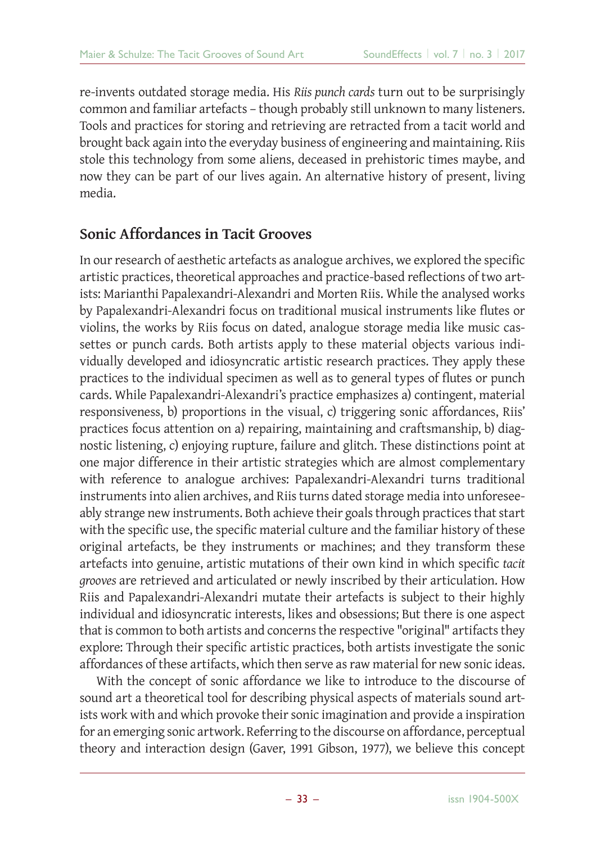re-invents outdated storage media. His *Riis punch cards* turn out to be surprisingly common and familiar artefacts – though probably still unknown to many listeners. Tools and practices for storing and retrieving are retracted from a tacit world and brought back again into the everyday business of engineering and maintaining. Riis stole this technology from some aliens, deceased in prehistoric times maybe, and now they can be part of our lives again. An alternative history of present, living media.

#### **Sonic Affordances in Tacit Grooves**

In our research of aesthetic artefacts as analogue archives, we explored the specific artistic practices, theoretical approaches and practice-based reflections of two artists: Marianthi Papalexandri-Alexandri and Morten Riis. While the analysed works by Papalexandri-Alexandri focus on traditional musical instruments like flutes or violins, the works by Riis focus on dated, analogue storage media like music cassettes or punch cards. Both artists apply to these material objects various individually developed and idiosyncratic artistic research practices. They apply these practices to the individual specimen as well as to general types of flutes or punch cards. While Papalexandri-Alexandri's practice emphasizes a) contingent, material responsiveness, b) proportions in the visual, c) triggering sonic affordances, Riis' practices focus attention on a) repairing, maintaining and craftsmanship, b) diagnostic listening, c) enjoying rupture, failure and glitch. These distinctions point at one major difference in their artistic strategies which are almost complementary with reference to analogue archives: Papalexandri-Alexandri turns traditional instruments into alien archives, and Riis turns dated storage media into unforeseeably strange new instruments. Both achieve their goals through practices that start with the specific use, the specific material culture and the familiar history of these original artefacts, be they instruments or machines; and they transform these artefacts into genuine, artistic mutations of their own kind in which specific tacit *grooves* are retrieved and articulated or newly inscribed by their articulation. How Riis and Papalexandri-Alexandri mutate their artefacts is subject to their highly individual and idiosyncratic interests, likes and obsessions; But there is one aspect that is common to both artists and concerns the respective "original" artifacts they explore: Through their specific artistic practices, both artists investigate the sonic affordances of these artifacts, which then serve as raw material for new sonic ideas.

With the concept of sonic affordance we like to introduce to the discourse of sound art a theoretical tool for describing physical aspects of materials sound artists work with and which provoke their sonic imagination and provide a inspiration for an emerging sonic artwork. Referring to the discourse on affordance, perceptual theory and interaction design (Gaver, 1991 Gibson, 1977), we believe this concept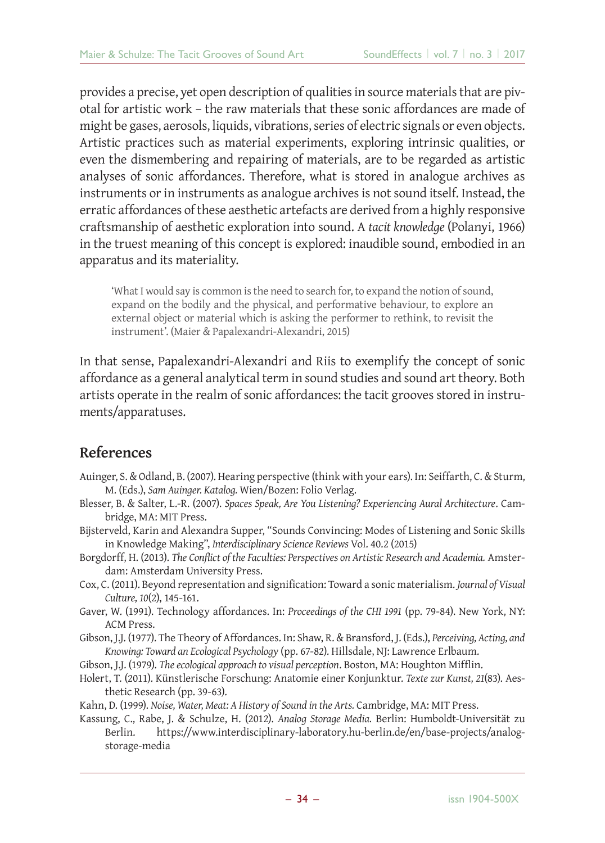provides a precise, yet open description of qualities in source materials that are pivotal for artistic work – the raw materials that these sonic affordances are made of might be gases, aerosols, liquids, vibrations, series of electric signals or even objects. Artistic practices such as material experiments, exploring intrinsic qualities, or even the dismembering and repairing of materials, are to be regarded as artistic analyses of sonic affordances. Therefore, what is stored in analogue archives as instruments or in instruments as analogue archives is not sound itself. Instead, the erratic affordances of these aesthetic artefacts are derived from a highly responsive craftsmanship of aesthetic exploration into sound. A *tacit knowledge* (Polanyi, 1966) in the truest meaning of this concept is explored: inaudible sound, embodied in an apparatus and its materiality.

'What I would say is common is the need to search for, to expand the notion of sound, expand on the bodily and the physical, and performative behaviour, to explore an external object or material which is asking the performer to rethink, to revisit the instrument'. (Maier & Papalexandri-Alexandri, 2015)

In that sense, Papalexandri-Alexandri and Riis to exemplify the concept of sonic affordance as a general analytical term in sound studies and sound art theory. Both artists operate in the realm of sonic affordances: the tacit grooves stored in instruments/apparatuses.

#### **References**

- Auinger, S. & Odland, B. (2007). Hearing perspective (think with your ears). In: Seiffarth, C. & Sturm, M. (Eds.), *Sam Auinger. Katalog.* Wien/Bozen: Folio Verlag.
- Blesser, B. & Salter, L.-R. (2007). *Spaces Speak, Are You Listening? Experiencing Aural Architecture*. Cambridge, MA: MIT Press.
- Bijsterveld, Karin and Alexandra Supper, "Sounds Convincing: Modes of Listening and Sonic Skills in Knowledge Making", *Interdisciplinary Science Reviews* Vol. 40.2 (2015)
- Borgdorff, H. (2013). *The Conflict of the Faculties: Perspectives on Artistic Research and Academia.* Amsterdam: Amsterdam University Press.
- Cox, C. (2011). Beyond representation and signification: Toward a sonic materialism. *Journal of Visual Culture, 10*(2), 145-161.
- Gaver, W. (1991). Technology affordances. In: *Proceedings of the CHI 1991* (pp. 79-84). New York, NY: ACM Press.
- Gibson, J.J. (1977). The Theory of Affordances. In: Shaw, R. & Bransford, J. (Eds.), *Perceiving, Acting, and Knowing: Toward an Ecological Psychology* (pp. 67-82). Hillsdale, NJ: Lawrence Erlbaum.
- Gibson, J.J. (1979). *The ecological approach to visual perception*. Boston, MA: Houghton Mifflin.
- Holert, T. (2011). Künstlerische Forschung: Anatomie einer Konjunktur. *Texte zur Kunst, 21*(83). Aesthetic Research (pp. 39-63).
- Kahn, D. (1999). *Noise, Water, Meat: A History of Sound in the Arts.* Cambridge, MA: MIT Press.
- Kassung, C., Rabe, J. & Schulze, H. (2012). *Analog Storage Media.* Berlin: Humboldt-Universität zu Berlin. https://www.interdisciplinary-laboratory.hu-berlin.de/en/base-projects/analogstorage-media